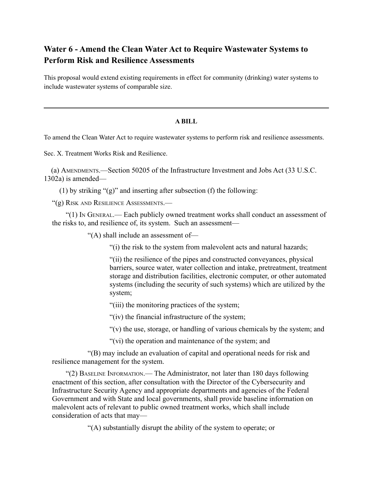## **Water 6 - Amend the Clean Water Act to Require Wastewater Systems to Perform Risk and Resilience Assessments**

This proposal would extend existing requirements in effect for community (drinking) water systems to include wastewater systems of comparable size.

## **A BILL**

To amend the Clean Water Act to require wastewater systems to perform risk and resilience assessments.

Sec. X. Treatment Works Risk and Resilience.

(a) AMENDMENTS.—Section 50205 of the Infrastructure Investment and Jobs Act (33 U.S.C. 1302a) is amended—

(1) by striking "(g)" and inserting after subsection (f) the following:

"(g) RISK AND RESILIENCE ASSESSMENTS.—

"(1) IN GENERAL.— Each publicly owned treatment works shall conduct an assessment of the risks to, and resilience of, its system. Such an assessment—

"(A) shall include an assessment of—

"(i) the risk to the system from malevolent acts and natural hazards;

"(ii) the resilience of the pipes and constructed conveyances, physical barriers, source water, water collection and intake, pretreatment, treatment storage and distribution facilities, electronic computer, or other automated systems (including the security of such systems) which are utilized by the system;

"(iii) the monitoring practices of the system;

"(iv) the financial infrastructure of the system;

 $'(v)$  the use, storage, or handling of various chemicals by the system; and

"(vi) the operation and maintenance of the system; and

"(B) may include an evaluation of capital and operational needs for risk and resilience management for the system.

"(2) BASELINE INFORMATION.— The Administrator, not later than 180 days following enactment of this section, after consultation with the Director of the Cybersecurity and Infrastructure Security Agency and appropriate departments and agencies of the Federal Government and with State and local governments, shall provide baseline information on malevolent acts of relevant to public owned treatment works, which shall include consideration of acts that may—

"(A) substantially disrupt the ability of the system to operate; or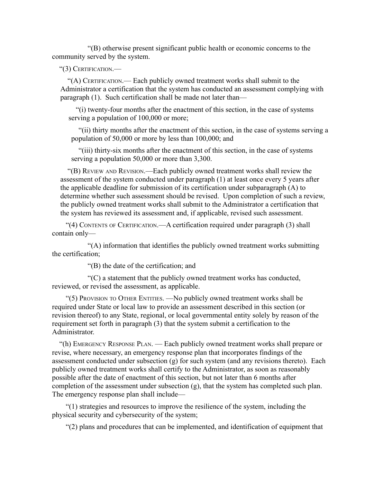"(B) otherwise present significant public health or economic concerns to the community served by the system.

"(3) CERTIFICATION.—

"(A) CERTIFICATION.— Each publicly owned treatment works shall submit to the Administrator a certification that the system has conducted an assessment complying with paragraph (1). Such certification shall be made not later than—

"(i) twenty-four months after the enactment of this section, in the case of systems serving a population of 100,000 or more;

"(ii) thirty months after the enactment of this section, in the case of systems serving a population of 50,000 or more by less than 100,000; and

"(iii) thirty-six months after the enactment of this section, in the case of systems serving a population 50,000 or more than 3,300.

"(B) REVIEW AND REVISION.—Each publicly owned treatment works shall review the assessment of the system conducted under paragraph (1) at least once every 5 years after the applicable deadline for submission of its certification under subparagraph (A) to determine whether such assessment should be revised. Upon completion of such a review, the publicly owned treatment works shall submit to the Administrator a certification that the system has reviewed its assessment and, if applicable, revised such assessment.

"(4) CONTENTS OF CERTIFICATION.—A certification required under paragraph (3) shall contain only—

"(A) information that identifies the publicly owned treatment works submitting the certification;

"(B) the date of the certification; and

 $C^{\prime}(C)$  a statement that the publicly owned treatment works has conducted, reviewed, or revised the assessment, as applicable.

"(5) PROVISION TO OTHER ENTITIES. —No publicly owned treatment works shall be required under State or local law to provide an assessment described in this section (or revision thereof) to any State, regional, or local governmental entity solely by reason of the requirement set forth in paragraph (3) that the system submit a certification to the Administrator.

"(h) EMERGENCY RESPONSE PLAN. — Each publicly owned treatment works shall prepare or revise, where necessary, an emergency response plan that incorporates findings of the assessment conducted under subsection (g) for such system (and any revisions thereto). Each publicly owned treatment works shall certify to the Administrator, as soon as reasonably possible after the date of enactment of this section, but not later than 6 months after completion of the assessment under subsection (g), that the system has completed such plan. The emergency response plan shall include—

"(1) strategies and resources to improve the resilience of the system, including the physical security and cybersecurity of the system;

"(2) plans and procedures that can be implemented, and identification of equipment that